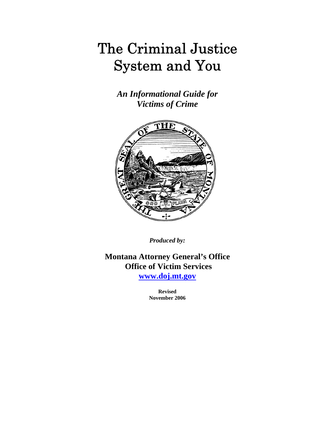# The Criminal Justice System and You

*An Informational Guide for Victims of Crime* 



*Produced by:* 

**Montana Attorney General's Office Office of Victim Services** 

**[www.doj.mt.gov](http://www.doj.mt.gov/)**

**Revised November 2006**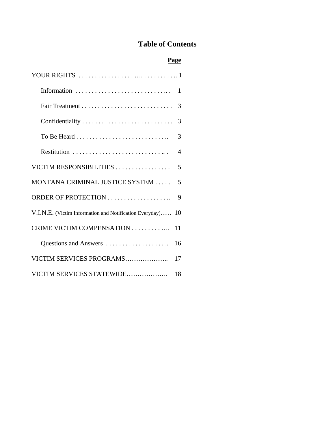## **Table of Contents**

## **Page**

|                                                         | 1  |
|---------------------------------------------------------|----|
|                                                         | 3  |
|                                                         | 3  |
|                                                         | 3  |
| Restitution                                             | 4  |
| VICTIM RESPONSIBILITIES                                 | 5  |
| MONTANA CRIMINAL JUSTICE SYSTEM                         | 5  |
| ORDER OF PROTECTION                                     | 9  |
| V.I.N.E. (Victim Information and Notification Everyday) | 10 |
| CRIME VICTIM COMPENSATION                               | 11 |
| Questions and Answers                                   | 16 |
| VICTIM SERVICES PROGRAMS                                | 17 |
| VICTIM SERVICES STATEWIDE                               | 18 |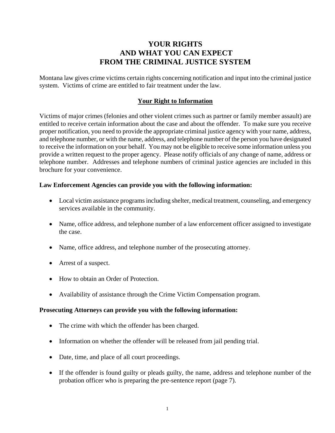## **YOUR RIGHTS AND WHAT YOU CAN EXPECT FROM THE CRIMINAL JUSTICE SYSTEM**

Montana law gives crime victims certain rights concerning notification and input into the criminal justice system. Victims of crime are entitled to fair treatment under the law.

#### **Your Right to Information**

Victims of major crimes (felonies and other violent crimes such as partner or family member assault) are entitled to receive certain information about the case and about the offender. To make sure you receive proper notification, you need to provide the appropriate criminal justice agency with your name, address, and telephone number, or with the name, address, and telephone number of the person you have designated to receive the information on your behalf. You may not be eligible to receive some information unless you provide a written request to the proper agency. Please notify officials of any change of name, address or telephone number. Addresses and telephone numbers of criminal justice agencies are included in this brochure for your convenience.

#### **Law Enforcement Agencies can provide you with the following information:**

- Local victim assistance programs including shelter, medical treatment, counseling, and emergency services available in the community.
- Name, office address, and telephone number of a law enforcement officer assigned to investigate the case.
- Name, office address, and telephone number of the prosecuting attorney.
- Arrest of a suspect.
- How to obtain an Order of Protection.
- Availability of assistance through the Crime Victim Compensation program.

#### **Prosecuting Attorneys can provide you with the following information:**

- The crime with which the offender has been charged.
- Information on whether the offender will be released from jail pending trial.
- Date, time, and place of all court proceedings.
- If the offender is found guilty or pleads guilty, the name, address and telephone number of the probation officer who is preparing the pre-sentence report (page 7).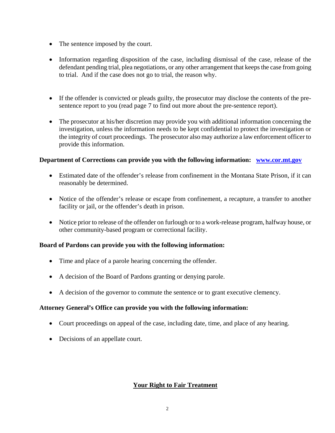- The sentence imposed by the court.
- Information regarding disposition of the case, including dismissal of the case, release of the defendant pending trial, plea negotiations, or any other arrangement that keeps the case from going to trial. And if the case does not go to trial, the reason why.
- If the offender is convicted or pleads guilty, the prosecutor may disclose the contents of the presentence report to you (read page 7 to find out more about the pre-sentence report).
- The prosecutor at his/her discretion may provide you with additional information concerning the investigation, unless the information needs to be kept confidential to protect the investigation or the integrity of court proceedings. The prosecutor also may authorize a law enforcement officer to provide this information.

#### **Department of Corrections can provide you with the following information: [www.cor.mt.gov](http://www.cor.mt.gov/)**

- Estimated date of the offender's release from confinement in the Montana State Prison, if it can reasonably be determined.
- Notice of the offender's release or escape from confinement, a recapture, a transfer to another facility or jail, or the offender's death in prison.
- Notice prior to release of the offender on furlough or to a work-release program, halfway house, or other community-based program or correctional facility.

#### **Board of Pardons can provide you with the following information:**

- Time and place of a parole hearing concerning the offender.
- A decision of the Board of Pardons granting or denying parole.
- A decision of the governor to commute the sentence or to grant executive clemency.

#### **Attorney General's Office can provide you with the following information:**

- Court proceedings on appeal of the case, including date, time, and place of any hearing.
- Decisions of an appellate court.

#### **Your Right to Fair Treatment**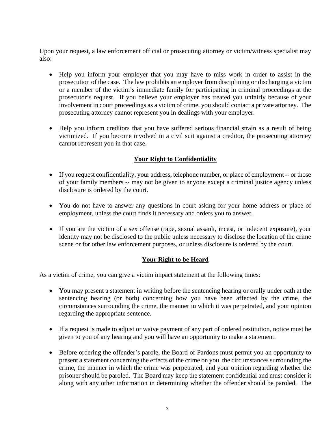Upon your request, a law enforcement official or prosecuting attorney or victim/witness specialist may also:

- Help you inform your employer that you may have to miss work in order to assist in the prosecution of the case. The law prohibits an employer from disciplining or discharging a victim or a member of the victim's immediate family for participating in criminal proceedings at the prosecutor's request. If you believe your employer has treated you unfairly because of your involvement in court proceedings as a victim of crime, you should contact a private attorney. The prosecuting attorney cannot represent you in dealings with your employer.
- Help you inform creditors that you have suffered serious financial strain as a result of being victimized. If you become involved in a civil suit against a creditor, the prosecuting attorney cannot represent you in that case.

## **Your Right to Confidentiality**

- If you request confidentiality, your address, telephone number, or place of employment -- or those of your family members -- may not be given to anyone except a criminal justice agency unless disclosure is ordered by the court.
- You do not have to answer any questions in court asking for your home address or place of employment, unless the court finds it necessary and orders you to answer.
- If you are the victim of a sex offense (rape, sexual assault, incest, or indecent exposure), your identity may not be disclosed to the public unless necessary to disclose the location of the crime scene or for other law enforcement purposes, or unless disclosure is ordered by the court.

#### **Your Right to be Heard**

As a victim of crime, you can give a victim impact statement at the following times:

- You may present a statement in writing before the sentencing hearing or orally under oath at the sentencing hearing (or both) concerning how you have been affected by the crime, the circumstances surrounding the crime, the manner in which it was perpetrated, and your opinion regarding the appropriate sentence.
- If a request is made to adjust or waive payment of any part of ordered restitution, notice must be given to you of any hearing and you will have an opportunity to make a statement.
- Before ordering the offender's parole, the Board of Pardons must permit you an opportunity to present a statement concerning the effects of the crime on you, the circumstances surrounding the crime, the manner in which the crime was perpetrated, and your opinion regarding whether the prisoner should be paroled. The Board may keep the statement confidential and must consider it along with any other information in determining whether the offender should be paroled. The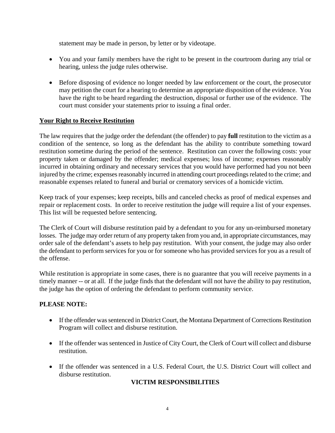statement may be made in person, by letter or by videotape.

- You and your family members have the right to be present in the courtroom during any trial or hearing, unless the judge rules otherwise.
- Before disposing of evidence no longer needed by law enforcement or the court, the prosecutor may petition the court for a hearing to determine an appropriate disposition of the evidence. You have the right to be heard regarding the destruction, disposal or further use of the evidence. The court must consider your statements prior to issuing a final order.

#### **Your Right to Receive Restitution**

The law requires that the judge order the defendant (the offender) to pay **full** restitution to the victim as a condition of the sentence, so long as the defendant has the ability to contribute something toward restitution sometime during the period of the sentence. Restitution can cover the following costs: your property taken or damaged by the offender; medical expenses; loss of income; expenses reasonably incurred in obtaining ordinary and necessary services that you would have performed had you not been injured by the crime; expenses reasonably incurred in attending court proceedings related to the crime; and reasonable expenses related to funeral and burial or crematory services of a homicide victim.

Keep track of your expenses; keep receipts, bills and canceled checks as proof of medical expenses and repair or replacement costs. In order to receive restitution the judge will require a list of your expenses. This list will be requested before sentencing.

The Clerk of Court will disburse restitution paid by a defendant to you for any un-reimbursed monetary losses. The judge may order return of any property taken from you and, in appropriate circumstances, may order sale of the defendant's assets to help pay restitution. With your consent, the judge may also order the defendant to perform services for you or for someone who has provided services for you as a result of the offense.

While restitution is appropriate in some cases, there is no guarantee that you will receive payments in a timely manner -- or at all. If the judge finds that the defendant will not have the ability to pay restitution, the judge has the option of ordering the defendant to perform community service.

## **PLEASE NOTE:**

- If the offender was sentenced in District Court, the Montana Department of Corrections Restitution Program will collect and disburse restitution.
- If the offender was sentenced in Justice of City Court, the Clerk of Court will collect and disburse restitution.
- If the offender was sentenced in a U.S. Federal Court, the U.S. District Court will collect and disburse restitution.

#### **VICTIM RESPONSIBILITIES**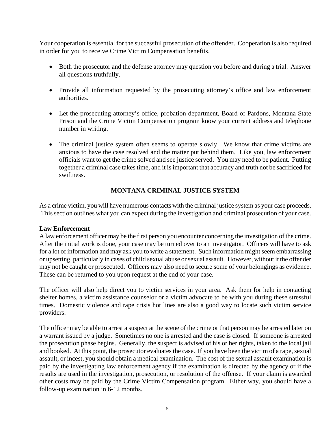Your cooperation is essential for the successful prosecution of the offender. Cooperation is also required in order for you to receive Crime Victim Compensation benefits.

- Both the prosecutor and the defense attorney may question you before and during a trial. Answer all questions truthfully.
- Provide all information requested by the prosecuting attorney's office and law enforcement authorities.
- Let the prosecuting attorney's office, probation department, Board of Pardons, Montana State Prison and the Crime Victim Compensation program know your current address and telephone number in writing.
- The criminal justice system often seems to operate slowly. We know that crime victims are anxious to have the case resolved and the matter put behind them. Like you, law enforcement officials want to get the crime solved and see justice served. You may need to be patient. Putting together a criminal case takes time, and it is important that accuracy and truth not be sacrificed for swiftness.

## **MONTANA CRIMINAL JUSTICE SYSTEM**

As a crime victim, you will have numerous contacts with the criminal justice system as your case proceeds. This section outlines what you can expect during the investigation and criminal prosecution of your case.

#### **Law Enforcement**

A law enforcement officer may be the first person you encounter concerning the investigation of the crime. After the initial work is done, your case may be turned over to an investigator. Officers will have to ask for a lot of information and may ask you to write a statement. Such information might seem embarrassing or upsetting, particularly in cases of child sexual abuse or sexual assault. However, without it the offender may not be caught or prosecuted. Officers may also need to secure some of your belongings as evidence. These can be returned to you upon request at the end of your case.

The officer will also help direct you to victim services in your area. Ask them for help in contacting shelter homes, a victim assistance counselor or a victim advocate to be with you during these stressful times. Domestic violence and rape crisis hot lines are also a good way to locate such victim service providers.

The officer may be able to arrest a suspect at the scene of the crime or that person may be arrested later on a warrant issued by a judge. Sometimes no one is arrested and the case is closed. If someone is arrested the prosecution phase begins. Generally, the suspect is advised of his or her rights, taken to the local jail and booked. At this point, the prosecutor evaluates the case. If you have been the victim of a rape, sexual assault, or incest, you should obtain a medical examination. The cost of the sexual assault examination is paid by the investigating law enforcement agency if the examination is directed by the agency or if the results are used in the investigation, prosecution, or resolution of the offense. If your claim is awarded other costs may be paid by the Crime Victim Compensation program. Either way, you should have a follow-up examination in 6-12 months.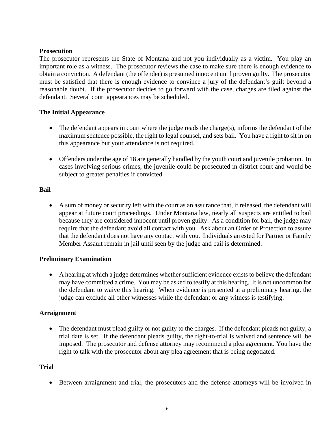#### **Prosecution**

The prosecutor represents the State of Montana and not you individually as a victim. You play an important role as a witness. The prosecutor reviews the case to make sure there is enough evidence to obtain a conviction. A defendant (the offender) is presumed innocent until proven guilty. The prosecutor must be satisfied that there is enough evidence to convince a jury of the defendant's guilt beyond a reasonable doubt. If the prosecutor decides to go forward with the case, charges are filed against the defendant. Several court appearances may be scheduled.

#### **The Initial Appearance**

- The defendant appears in court where the judge reads the charge(s), informs the defendant of the maximum sentence possible, the right to legal counsel, and sets bail. You have a right to sit in on this appearance but your attendance is not required.
- Offenders under the age of 18 are generally handled by the youth court and juvenile probation. In cases involving serious crimes, the juvenile could be prosecuted in district court and would be subject to greater penalties if convicted.

#### **Bail**

• A sum of money or security left with the court as an assurance that, if released, the defendant will appear at future court proceedings. Under Montana law, nearly all suspects are entitled to bail because they are considered innocent until proven guilty. As a condition for bail, the judge may require that the defendant avoid all contact with you. Ask about an Order of Protection to assure that the defendant does not have any contact with you. Individuals arrested for Partner or Family Member Assault remain in jail until seen by the judge and bail is determined.

#### **Preliminary Examination**

• A hearing at which a judge determines whether sufficient evidence exists to believe the defendant may have committed a crime. You may be asked to testify at this hearing. It is not uncommon for the defendant to waive this hearing. When evidence is presented at a preliminary hearing, the judge can exclude all other witnesses while the defendant or any witness is testifying.

#### **Arraignment**

• The defendant must plead guilty or not guilty to the charges. If the defendant pleads not guilty, a trial date is set. If the defendant pleads guilty, the right-to-trial is waived and sentence will be imposed. The prosecutor and defense attorney may recommend a plea agreement. You have the right to talk with the prosecutor about any plea agreement that is being negotiated.

#### **Trial**

• Between arraignment and trial, the prosecutors and the defense attorneys will be involved in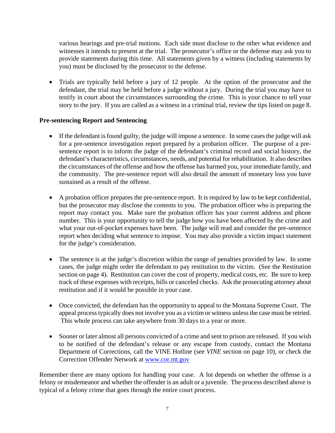various hearings and pre-trial motions. Each side must disclose to the other what evidence and witnesses it intends to present at the trial. The prosecutor's office or the defense may ask you to provide statements during this time. All statements given by a witness (including statements by you) must be disclosed by the prosecutor to the defense.

• Trials are typically held before a jury of 12 people. At the option of the prosecutor and the defendant, the trial may be held before a judge without a jury. During the trial you may have to testify in court about the circumstances surrounding the crime. This is your chance to tell your story to the jury. If you are called as a witness in a criminal trial, review the tips listed on page 8.

#### **Pre-sentencing Report and Sentencing**

- If the defendant is found guilty, the judge will impose a sentence. In some cases the judge will ask for a pre-sentence investigation report prepared by a probation officer. The purpose of a presentence report is to inform the judge of the defendant's criminal record and social history, the defendant's characteristics, circumstances, needs, and potential for rehabilitation. It also describes the circumstances of the offense and how the offense has harmed you, your immediate family, and the community. The pre-sentence report will also detail the amount of monetary loss you have sustained as a result of the offense.
- A probation officer prepares the pre-sentence report. It is required by law to be kept confidential, but the prosecutor may disclose the contents to you. The probation officer who is preparing the report may contact you. Make sure the probation officer has your current address and phone number. This is your opportunity to tell the judge how you have been affected by the crime and what your out-of-pocket expenses have been. The judge will read and consider the pre-sentence report when deciding what sentence to impose. You may also provide a victim impact statement for the judge's consideration.
- The sentence is at the judge's discretion within the range of penalties provided by law. In some cases, the judge might order the defendant to pay restitution to the victim. (See the Restitution section on page 4). Restitution can cover the cost of property, medical costs, etc. Be sure to keep track of these expenses with receipts, bills or canceled checks. Ask the prosecuting attorney about restitution and if it would be possible in your case.
- Once convicted, the defendant has the opportunity to appeal to the Montana Supreme Court. The appeal process typically does not involve you as a victim or witness unless the case must be retried. This whole process can take anywhere from 30 days to a year or more.
- Sooner or later almost all persons convicted of a crime and sent to prison are released. If you wish to be notified of the defendant's release or any escape from custody, contact the Montana Department of Corrections, call the VINE Hotline (see *VINE* section on page 10), or check the Correction Offender Network at [www.cor.mt.gov](http://www.cor.mt.gov/)

Remember there are many options for handling your case. A lot depends on whether the offense is a felony or misdemeanor and whether the offender is an adult or a juvenile. The process described above is typical of a felony crime that goes through the entire court process.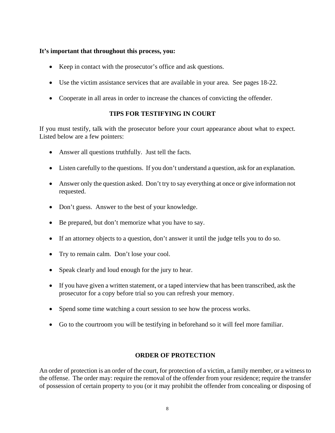#### **It's important that throughout this process, you:**

- Keep in contact with the prosecutor's office and ask questions.
- Use the victim assistance services that are available in your area. See pages 18-22.
- Cooperate in all areas in order to increase the chances of convicting the offender.

#### **TIPS FOR TESTIFYING IN COURT**

If you must testify, talk with the prosecutor before your court appearance about what to expect. Listed below are a few pointers:

- Answer all questions truthfully. Just tell the facts.
- Listen carefully to the questions. If you don't understand a question, ask for an explanation.
- Answer only the question asked. Don't try to say everything at once or give information not requested.
- Don't guess. Answer to the best of your knowledge.
- Be prepared, but don't memorize what you have to say.
- If an attorney objects to a question, don't answer it until the judge tells you to do so.
- Try to remain calm. Don't lose your cool.
- Speak clearly and loud enough for the jury to hear.
- If you have given a written statement, or a taped interview that has been transcribed, ask the prosecutor for a copy before trial so you can refresh your memory.
- Spend some time watching a court session to see how the process works.
- Go to the courtroom you will be testifying in beforehand so it will feel more familiar.

#### **ORDER OF PROTECTION**

An order of protection is an order of the court, for protection of a victim, a family member, or a witness to the offense. The order may: require the removal of the offender from your residence; require the transfer of possession of certain property to you (or it may prohibit the offender from concealing or disposing of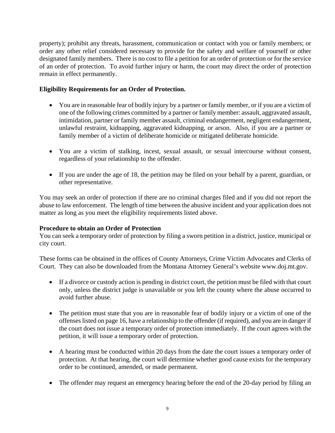property); prohibit any threats, harassment, communication or contact with you or family members; or order any other relief considered necessary to provide for the safety and welfare of yourself or other designated family members. There is no cost to file a petition for an order of protection or for the service of an order of protection. To avoid further injury or harm, the court may direct the order of protection remain in effect permanently.

#### **Eligibility Requirements for an Order of Protection.**

- You are in reasonable fear of bodily injury by a partner or family member, or if you are a victim of one of the following crimes committed by a partner or family member: assault, aggravated assault, intimidation, partner or family member assault, criminal endangerment, negligent endangerment, unlawful restraint, kidnapping, aggravated kidnapping, or arson. Also, if you are a partner or family member of a victim of deliberate homicide or mitigated deliberate homicide.
- You are a victim of stalking, incest, sexual assault, or sexual intercourse without consent, regardless of your relationship to the offender.
- If you are under the age of 18, the petition may be filed on your behalf by a parent, guardian, or other representative.

You may seek an order of protection if there are no criminal charges filed and if you did not report the abuse to law enforcement. The length of time between the abusive incident and your application does not matter as long as you meet the eligibility requirements listed above.

#### **Procedure to obtain an Order of Protection**

You can seek a temporary order of protection by filing a sworn petition in a district, justice, municipal or city court.

These forms can be obtained in the offices of County Attorneys, Crime Victim Advocates and Clerks of Court. They can also be downloaded from the Montana Attorney General's website www.doj.mt.gov.

- If a divorce or custody action is pending in district court, the petition must be filed with that court only, unless the district judge is unavailable or you left the county where the abuse occurred to avoid further abuse.
- The petition must state that you are in reasonable fear of bodily injury or a victim of one of the offenses listed on page 16, have a relationship to the offender (if required), and you are in danger if the court does not issue a temporary order of protection immediately. If the court agrees with the petition, it will issue a temporary order of protection.
- A hearing must be conducted within 20 days from the date the court issues a temporary order of protection. At that hearing, the court will determine whether good cause exists for the temporary order to be continued, amended, or made permanent.
- The offender may request an emergency hearing before the end of the 20-day period by filing an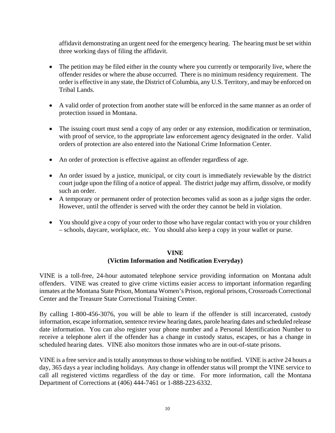affidavit demonstrating an urgent need for the emergency hearing. The hearing must be set within three working days of filing the affidavit.

- The petition may be filed either in the county where you currently or temporarily live, where the offender resides or where the abuse occurred. There is no minimum residency requirement. The order is effective in any state, the District of Columbia, any U.S. Territory, and may be enforced on Tribal Lands.
- A valid order of protection from another state will be enforced in the same manner as an order of protection issued in Montana.
- The issuing court must send a copy of any order or any extension, modification or termination, with proof of service, to the appropriate law enforcement agency designated in the order. Valid orders of protection are also entered into the National Crime Information Center.
- An order of protection is effective against an offender regardless of age.
- An order issued by a justice, municipal, or city court is immediately reviewable by the district court judge upon the filing of a notice of appeal. The district judge may affirm, dissolve, or modify such an order.
- A temporary or permanent order of protection becomes valid as soon as a judge signs the order. However, until the offender is served with the order they cannot be held in violation.
- You should give a copy of your order to those who have regular contact with you or your children – schools, daycare, workplace, etc. You should also keep a copy in your wallet or purse.

#### **VINE (Victim Information and Notification Everyday)**

VINE is a toll-free, 24-hour automated telephone service providing information on Montana adult offenders. VINE was created to give crime victims easier access to important information regarding inmates at the Montana State Prison, Montana Women's Prison, regional prisons, Crossroads Correctional Center and the Treasure State Correctional Training Center.

By calling 1-800-456-3076, you will be able to learn if the offender is still incarcerated, custody information, escape information, sentence review hearing dates, parole hearing dates and scheduled release date information. You can also register your phone number and a Personal Identification Number to receive a telephone alert if the offender has a change in custody status, escapes, or has a change in scheduled hearing dates. VINE also monitors those inmates who are in out-of-state prisons.

VINE is a free service and is totally anonymous to those wishing to be notified. VINE is active 24 hours a day, 365 days a year including holidays. Any change in offender status will prompt the VINE service to call all registered victims regardless of the day or time. For more information, call the Montana Department of Corrections at (406) 444-7461 or 1-888-223-6332.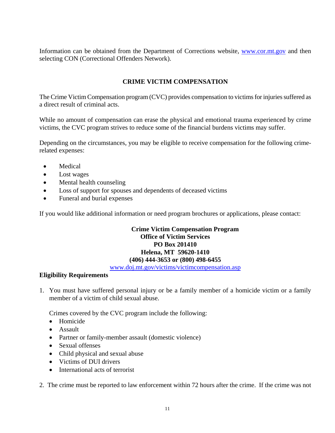Information can be obtained from the Department of Corrections website, [www.cor.mt.gov](http://www.cor.mt.gov/) and then selecting CON (Correctional Offenders Network).

## **CRIME VICTIM COMPENSATION**

The Crime Victim Compensation program (CVC) provides compensation to victims for injuries suffered as a direct result of criminal acts.

While no amount of compensation can erase the physical and emotional trauma experienced by crime victims, the CVC program strives to reduce some of the financial burdens victims may suffer.

Depending on the circumstances, you may be eligible to receive compensation for the following crimerelated expenses:

- Medical
- Lost wages
- Mental health counseling
- Loss of support for spouses and dependents of deceased victims
- Funeral and burial expenses

If you would like additional information or need program brochures or applications, please contact:

## **Crime Victim Compensation Program Office of Victim Services PO Box 201410 Helena, MT 59620-1410 (406) 444-3653 or (800) 498-6455**

[www.doj.mt.gov/victims/victimcompensation.asp](http://www.doj.mt.gov/victims/victimcompensation.asp)

#### **Eligibility Requirements**

1. You must have suffered personal injury or be a family member of a homicide victim or a family member of a victim of child sexual abuse.

Crimes covered by the CVC program include the following:

- Homicide
- Assault
- Partner or family-member assault (domestic violence)
- Sexual offenses
- Child physical and sexual abuse
- Victims of DUI drivers
- International acts of terrorist

2. The crime must be reported to law enforcement within 72 hours after the crime. If the crime was not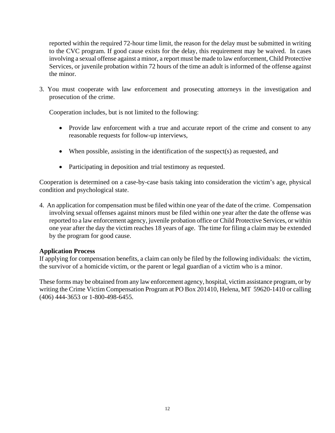reported within the required 72-hour time limit, the reason for the delay must be submitted in writing to the CVC program. If good cause exists for the delay, this requirement may be waived. In cases involving a sexual offense against a minor, a report must be made to law enforcement, Child Protective Services, or juvenile probation within 72 hours of the time an adult is informed of the offense against the minor.

3. You must cooperate with law enforcement and prosecuting attorneys in the investigation and prosecution of the crime.

Cooperation includes, but is not limited to the following:

- Provide law enforcement with a true and accurate report of the crime and consent to any reasonable requests for follow-up interviews,
- When possible, assisting in the identification of the suspect(s) as requested, and
- Participating in deposition and trial testimony as requested.

Cooperation is determined on a case-by-case basis taking into consideration the victim's age, physical condition and psychological state.

4. An application for compensation must be filed within one year of the date of the crime. Compensation involving sexual offenses against minors must be filed within one year after the date the offense was reported to a law enforcement agency, juvenile probation office or Child Protective Services, or within one year after the day the victim reaches 18 years of age. The time for filing a claim may be extended by the program for good cause.

#### **Application Process**

If applying for compensation benefits, a claim can only be filed by the following individuals: the victim, the survivor of a homicide victim, or the parent or legal guardian of a victim who is a minor.

These forms may be obtained from any law enforcement agency, hospital, victim assistance program, or by writing the Crime Victim Compensation Program at PO Box 201410, Helena, MT 59620-1410 or calling (406) 444-3653 or 1-800-498-6455.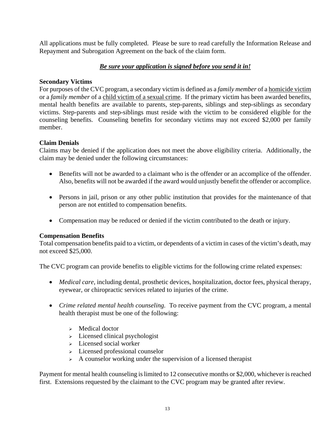All applications must be fully completed. Please be sure to read carefully the Information Release and Repayment and Subrogation Agreement on the back of the claim form.

## *Be sure your application is signed before you send it in!*

#### **Secondary Victims**

For purposes of the CVC program, a secondary victim is defined as a *family member* of a homicide victim or a *family member* of a child victim of a sexual crime. If the primary victim has been awarded benefits, mental health benefits are available to parents, step-parents, siblings and step-siblings as secondary victims. Step-parents and step-siblings must reside with the victim to be considered eligible for the counseling benefits. Counseling benefits for secondary victims may not exceed \$2,000 per family member.

#### **Claim Denials**

Claims may be denied if the application does not meet the above eligibility criteria. Additionally, the claim may be denied under the following circumstances:

- Benefits will not be awarded to a claimant who is the offender or an accomplice of the offender. Also, benefits will not be awarded if the award would unjustly benefit the offender or accomplice.
- Persons in jail, prison or any other public institution that provides for the maintenance of that person are not entitled to compensation benefits.
- Compensation may be reduced or denied if the victim contributed to the death or injury.

#### **Compensation Benefits**

Total compensation benefits paid to a victim, or dependents of a victim in cases of the victim's death, may not exceed \$25,000.

The CVC program can provide benefits to eligible victims for the following crime related expenses:

- *Medical care*, including dental, prosthetic devices, hospitalization, doctor fees, physical therapy, eyewear, or chiropractic services related to injuries of the crime.
- *Crime related mental health counseling.* To receive payment from the CVC program, a mental health therapist must be one of the following:
	- $\triangleright$  Medical doctor
	- $\geq$  Licensed clinical psychologist
	- $\triangleright$  Licensed social worker
	- $\geq$  Licensed professional counselor
	- $\triangleright$  A counselor working under the supervision of a licensed therapist

Payment for mental health counseling is limited to 12 consecutive months or \$2,000, whichever is reached first. Extensions requested by the claimant to the CVC program may be granted after review.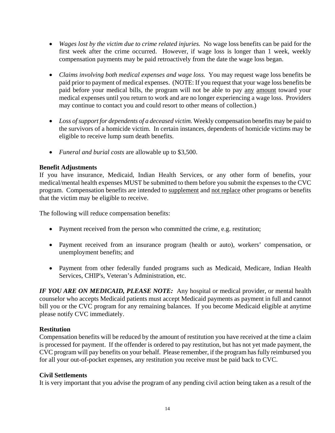- *Wages lost by the victim due to crime related injuries.* No wage loss benefits can be paid for the first week after the crime occurred. However, if wage loss is longer than 1 week, weekly compensation payments may be paid retroactively from the date the wage loss began.
- *Claims involving both medical expenses and wage loss.* You may request wage loss benefits be paid prior to payment of medical expenses. (NOTE: If you request that your wage loss benefits be paid before your medical bills, the program will not be able to pay any amount toward your medical expenses until you return to work and are no longer experiencing a wage loss. Providers may continue to contact you and could resort to other means of collection.)
- *Loss of support for dependents of a deceased victim.* Weekly compensation benefits may be paid to the survivors of a homicide victim. In certain instances, dependents of homicide victims may be eligible to receive lump sum death benefits.
- *Funeral and burial costs* are allowable up to \$3,500.

#### **Benefit Adjustments**

If you have insurance, Medicaid, Indian Health Services, or any other form of benefits, your medical/mental health expenses MUST be submitted to them before you submit the expenses to the CVC program. Compensation benefits are intended to supplement and not replace other programs or benefits that the victim may be eligible to receive.

The following will reduce compensation benefits:

- Payment received from the person who committed the crime, e.g. restitution;
- Payment received from an insurance program (health or auto), workers' compensation, or unemployment benefits; and
- Payment from other federally funded programs such as Medicaid, Medicare, Indian Health Services, CHIP's, Veteran's Administration, etc.

*IF YOU ARE ON MEDICAID, PLEASE NOTE:* Any hospital or medical provider, or mental health counselor who accepts Medicaid patients must accept Medicaid payments as payment in full and cannot bill you or the CVC program for any remaining balances. If you become Medicaid eligible at anytime please notify CVC immediately.

## **Restitution**

Compensation benefits will be reduced by the amount of restitution you have received at the time a claim is processed for payment. If the offender is ordered to pay restitution, but has not yet made payment, the CVC program will pay benefits on your behalf. Please remember, if the program has fully reimbursed you for all your out-of-pocket expenses, any restitution you receive must be paid back to CVC.

#### **Civil Settlements**

It is very important that you advise the program of any pending civil action being taken as a result of the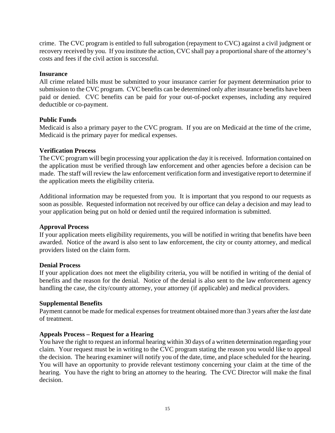crime. The CVC program is entitled to full subrogation (repayment to CVC) against a civil judgment or recovery received by you. If you institute the action, CVC shall pay a proportional share of the attorney's costs and fees if the civil action is successful.

#### **Insurance**

All crime related bills must be submitted to your insurance carrier for payment determination prior to submission to the CVC program. CVC benefits can be determined only after insurance benefits have been paid or denied. CVC benefits can be paid for your out-of-pocket expenses, including any required deductible or co-payment.

#### **Public Funds**

Medicaid is also a primary payer to the CVC program. If you are on Medicaid at the time of the crime, Medicaid is the primary payer for medical expenses.

#### **Verification Process**

The CVC program will begin processing your application the day it is received. Information contained on the application must be verified through law enforcement and other agencies before a decision can be made. The staff will review the law enforcement verification form and investigative report to determine if the application meets the eligibility criteria.

Additional information may be requested from you. It is important that you respond to our requests as soon as possible. Requested information not received by our office can delay a decision and may lead to your application being put on hold or denied until the required information is submitted.

#### **Approval Process**

If your application meets eligibility requirements, you will be notified in writing that benefits have been awarded. Notice of the award is also sent to law enforcement, the city or county attorney, and medical providers listed on the claim form.

#### **Denial Process**

If your application does not meet the eligibility criteria, you will be notified in writing of the denial of benefits and the reason for the denial. Notice of the denial is also sent to the law enforcement agency handling the case, the city/county attorney, your attorney (if applicable) and medical providers.

#### **Supplemental Benefits**

Payment cannot be made for medical expenses for treatment obtained more than 3 years after the *last* date of treatment.

#### **Appeals Process – Request for a Hearing**

You have the right to request an informal hearing within 30 days of a written determination regarding your claim. Your request must be in writing to the CVC program stating the reason you would like to appeal the decision. The hearing examiner will notify you of the date, time, and place scheduled for the hearing. You will have an opportunity to provide relevant testimony concerning your claim at the time of the hearing. You have the right to bring an attorney to the hearing. The CVC Director will make the final decision.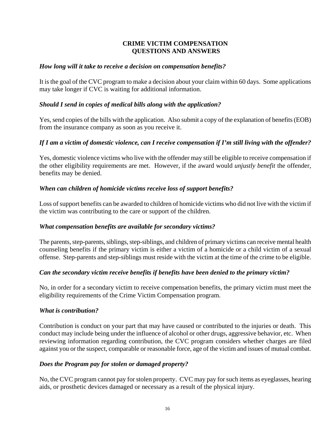#### **CRIME VICTIM COMPENSATION QUESTIONS AND ANSWERS**

#### *How long will it take to receive a decision on compensation benefits?*

It is the goal of the CVC program to make a decision about your claim within 60 days. Some applications may take longer if CVC is waiting for additional information.

#### *Should I send in copies of medical bills along with the application?*

Yes, send copies of the bills with the application. Also submit a copy of the explanation of benefits (EOB) from the insurance company as soon as you receive it.

#### *If I am a victim of domestic violence, can I receive compensation if I'm still living with the offender?*

Yes, domestic violence victims who live with the offender may still be eligible to receive compensation if the other eligibility requirements are met. However, if the award would *unjustly benefit* the offender, benefits may be denied.

#### *When can children of homicide victims receive loss of support benefits?*

Loss of support benefits can be awarded to children of homicide victims who did not live with the victim if the victim was contributing to the care or support of the children.

#### *What compensation benefits are available for secondary victims?*

The parents, step-parents, siblings, step-siblings, and children of primary victims can receive mental health counseling benefits if the primary victim is either a victim of a homicide or a child victim of a sexual offense. Step-parents and step-siblings must reside with the victim at the time of the crime to be eligible.

#### *Can the secondary victim receive benefits if benefits have been denied to the primary victim?*

No, in order for a secondary victim to receive compensation benefits, the primary victim must meet the eligibility requirements of the Crime Victim Compensation program.

#### *What is contribution?*

Contribution is conduct on your part that may have caused or contributed to the injuries or death. This conduct may include being under the influence of alcohol or other drugs, aggressive behavior, etc. When reviewing information regarding contribution, the CVC program considers whether charges are filed against you or the suspect, comparable or reasonable force, age of the victim and issues of mutual combat.

#### *Does the Program pay for stolen or damaged property?*

No, the CVC program cannot pay for stolen property. CVC may pay for such items as eyeglasses, hearing aids, or prosthetic devices damaged or necessary as a result of the physical injury.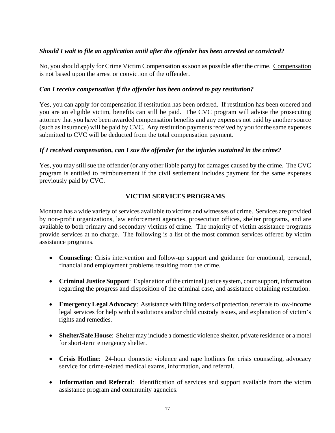#### *Should I wait to file an application until after the offender has been arrested or convicted?*

No, you should apply for Crime Victim Compensation as soon as possible after the crime. Compensation is not based upon the arrest or conviction of the offender.

#### *Can I receive compensation if the offender has been ordered to pay restitution?*

Yes, you can apply for compensation if restitution has been ordered. If restitution has been ordered and you are an eligible victim, benefits can still be paid. The CVC program will advise the prosecuting attorney that you have been awarded compensation benefits and any expenses not paid by another source (such as insurance) will be paid by CVC. Any restitution payments received by you for the same expenses submitted to CVC will be deducted from the total compensation payment.

#### *If I received compensation, can I sue the offender for the injuries sustained in the crime?*

Yes, you may still sue the offender (or any other liable party) for damages caused by the crime. The CVC program is entitled to reimbursement if the civil settlement includes payment for the same expenses previously paid by CVC.

#### **VICTIM SERVICES PROGRAMS**

Montana has a wide variety of services available to victims and witnesses of crime. Services are provided by non-profit organizations, law enforcement agencies, prosecution offices, shelter programs, and are available to both primary and secondary victims of crime. The majority of victim assistance programs provide services at no charge. The following is a list of the most common services offered by victim assistance programs.

- **Counseling**: Crisis intervention and follow-up support and guidance for emotional, personal, financial and employment problems resulting from the crime.
- **Criminal Justice Support**: Explanation of the criminal justice system, court support, information regarding the progress and disposition of the criminal case, and assistance obtaining restitution.
- **Emergency Legal Advocacy**: Assistance with filing orders of protection, referrals to low-income legal services for help with dissolutions and/or child custody issues, and explanation of victim's rights and remedies.
- **Shelter/Safe House**: Shelter may include a domestic violence shelter, private residence or a motel for short-term emergency shelter.
- **Crisis Hotline**: 24-hour domestic violence and rape hotlines for crisis counseling, advocacy service for crime-related medical exams, information, and referral.
- **Information and Referral**: Identification of services and support available from the victim assistance program and community agencies.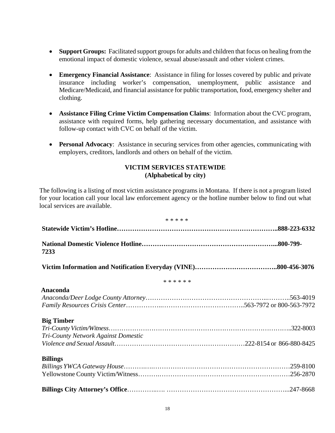- **Support Groups:** Facilitated support groups for adults and children that focus on healing from the emotional impact of domestic violence, sexual abuse/assault and other violent crimes.
- **Emergency Financial Assistance**: Assistance in filing for losses covered by public and private insurance including worker's compensation, unemployment, public assistance and Medicare/Medicaid, and financial assistance for public transportation, food, emergency shelter and clothing.
- **Assistance Filing Crime Victim Compensation Claims**: Information about the CVC program, assistance with required forms, help gathering necessary documentation, and assistance with follow-up contact with CVC on behalf of the victim.
- **Personal Advocacy**: Assistance in securing services from other agencies, communicating with employers, creditors, landlords and others on behalf of the victim.

#### **VICTIM SERVICES STATEWIDE (Alphabetical by city)**

The following is a listing of most victim assistance programs in Montana. If there is not a program listed for your location call your local law enforcement agency or the hotline number below to find out what local services are available.

| * * * * *                                                |  |
|----------------------------------------------------------|--|
|                                                          |  |
| 7233                                                     |  |
|                                                          |  |
| * * * * * *                                              |  |
| Anaconda                                                 |  |
| <b>Big Timber</b><br>Tri-County Network Against Domestic |  |
| <b>Billings</b>                                          |  |
|                                                          |  |
|                                                          |  |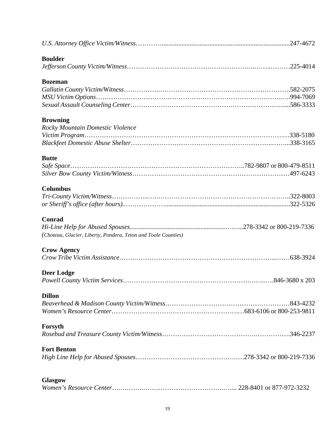| <b>Boulder</b>                                                 |           |
|----------------------------------------------------------------|-----------|
|                                                                |           |
| <b>Bozeman</b>                                                 |           |
|                                                                |           |
|                                                                |           |
|                                                                |           |
| <b>Browning</b>                                                |           |
|                                                                |           |
| Rocky Mountain Domestic Violence                               |           |
|                                                                |           |
|                                                                |           |
| <b>Butte</b>                                                   |           |
|                                                                |           |
|                                                                |           |
| <b>Columbus</b>                                                |           |
|                                                                |           |
|                                                                |           |
| <b>Conrad</b>                                                  |           |
|                                                                |           |
| (Choteau, Glacier, Liberty, Pondera, Teton and Toole Counties) |           |
| <b>Crow Agency</b>                                             |           |
|                                                                |           |
|                                                                |           |
| <b>Deer Lodge</b>                                              |           |
|                                                                |           |
| <b>Dillon</b>                                                  |           |
|                                                                | .843-4232 |
|                                                                |           |
| Forsyth                                                        |           |
|                                                                |           |
| <b>Fort Benton</b>                                             |           |
|                                                                |           |
|                                                                |           |
| Glasgow                                                        |           |
|                                                                |           |
|                                                                |           |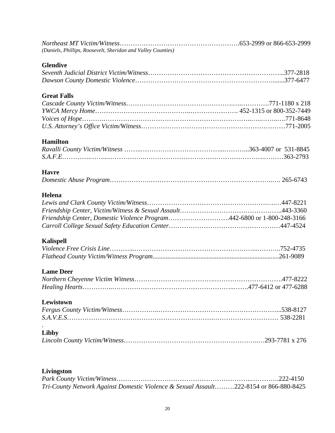| (Daniels, Phillips, Roosevelt, Sheridan and Valley Counties) |  |
|--------------------------------------------------------------|--|

## **Glendive**

## **Great Falls**

## **Hamilton**

## **Havre**

|--|--|

## **Helena**

| Friendship Center, Domestic Violence Program442-6800 or 1-800-248-3166 |  |
|------------------------------------------------------------------------|--|
|                                                                        |  |
|                                                                        |  |

## **Kalispell**

## **Lame Deer**

## **Lewistown**

## **Libby**

.

## **Livingston**

| Tri-County Network Against Domestic Violence & Sexual Assault222-8154 or 866-880-8425 |  |
|---------------------------------------------------------------------------------------|--|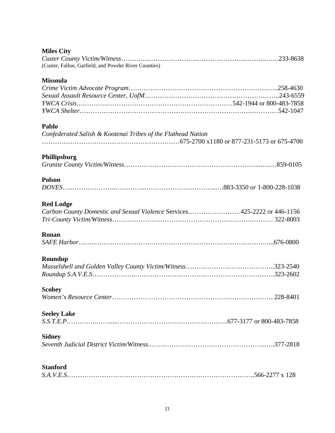## **Miles City**

| (Custer, Fallon, Garfield, and Powder River Counties) |  |
|-------------------------------------------------------|--|

#### **Missoula**

| <b>Missoula</b>                                                         |  |
|-------------------------------------------------------------------------|--|
|                                                                         |  |
|                                                                         |  |
|                                                                         |  |
|                                                                         |  |
| Pablo                                                                   |  |
| Confederated Salish & Kootenai Tribes of the Flathead Nation            |  |
|                                                                         |  |
| Phillipsburg                                                            |  |
|                                                                         |  |
|                                                                         |  |
| <b>Polson</b>                                                           |  |
|                                                                         |  |
| <b>Red Lodge</b>                                                        |  |
| Carbon County Domestic and Sexual Violence Services425-2222 or 446-1156 |  |
|                                                                         |  |
|                                                                         |  |
| Ronan                                                                   |  |
|                                                                         |  |
|                                                                         |  |
| Roundup                                                                 |  |
|                                                                         |  |
|                                                                         |  |
| <b>Scobey</b>                                                           |  |
|                                                                         |  |
|                                                                         |  |
| <b>Seeley Lake</b>                                                      |  |
|                                                                         |  |
| <b>Sidney</b>                                                           |  |
|                                                                         |  |
|                                                                         |  |
| <b>Stanford</b>                                                         |  |
|                                                                         |  |